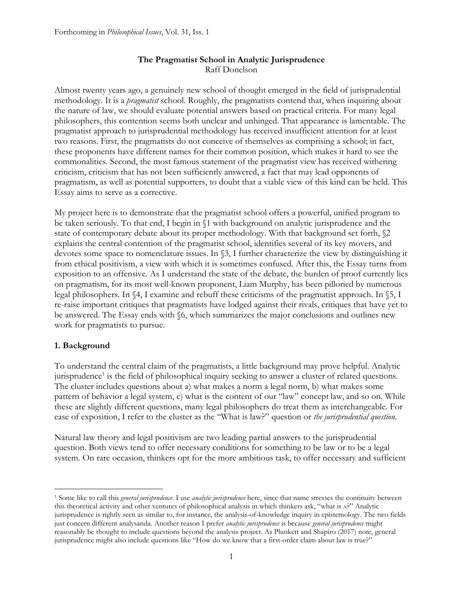# **The Pragmatist School in Analytic Jurisprudence** Raff Donelson

Almost twenty years ago, a genuinely new school of thought emerged in the field of jurisprudential methodology. It is a *pragmatist* school. Roughly, the pragmatists contend that, when inquiring about the nature of law, we should evaluate potential answers based on practical criteria. For many legal philosophers, this contention seems both unclear and unhinged. That appearance is lamentable. The pragmatist approach to jurisprudential methodology has received insufficient attention for at least two reasons. First, the pragmatists do not conceive of themselves as comprising a school; in fact, these proponents have different names for their common position, which makes it hard to see the commonalities. Second, the most famous statement of the pragmatist view has received withering criticism, criticism that has not been sufficiently answered, a fact that may lead opponents of pragmatism, as well as potential supporters, to doubt that a viable view of this kind can be held. This Essay aims to serve as a corrective.

My project here is to demonstrate that the pragmatist school offers a powerful, unified program to be taken seriously. To that end, I begin in §1 with background on analytic jurisprudence and the state of contemporary debate about its proper methodology. With that background set forth, §2 explains the central contention of the pragmatist school, identifies several of its key movers, and devotes some space to nomenclature issues. In §3, I further characterize the view by distinguishing it from ethical positivism, a view with which it is sometimes confused. After this, the Essay turns from exposition to an offensive. As I understand the state of the debate, the burden of proof currently lies on pragmatism, for its most well-known proponent, Liam Murphy, has been pilloried by numerous legal philosophers. In §4, I examine and rebuff these criticisms of the pragmatist approach. In §5, I re-raise important critiques that pragmatists have lodged against their rivals, critiques that have yet to be answered. The Essay ends with §6, which summarizes the major conclusions and outlines new work for pragmatists to pursue.

# **1. Background**

To understand the central claim of the pragmatists, a little background may prove helpful. Analytic jurisprudence<sup>[1](#page-0-0)</sup> is the field of philosophical inquiry seeking to answer a cluster of related questions. The cluster includes questions about a) what makes a norm a legal norm, b) what makes some pattern of behavior a legal system, c) what is the content of our "law" concept law, and so on. While these are slightly different questions, many legal philosophers do treat them as interchangeable. For ease of exposition, I refer to the cluster as the "What is law?" question or *the jurisprudential question*.

Natural law theory and legal positivism are two leading partial answers to the jurisprudential question. Both views tend to offer necessary conditions for something to be law or to be a legal system. On rare occasion, thinkers opt for the more ambitious task, to offer necessary and sufficient

<span id="page-0-0"></span><sup>1</sup> Some like to call this *general jurisprudence*. I use *analytic jurisprudence* here, since that name stresses the continuity between this theoretical activity and other ventures of philosophical analysis in which thinkers ask, "what is *x*?" Analytic jurisprudence is rightly seen as similar to, for instance, the analysis-of-knowledge inquiry in epistemology. The two fields just concern different analysanda. Another reason I prefer *analytic jurisprudence* is because *general jurisprudence* might reasonably be thought to include questions beyond the analysis project. As Plunkett and Shapiro (2017) note, general jurisprudence might also include questions like "How do we know that a first-order claim about law is true?"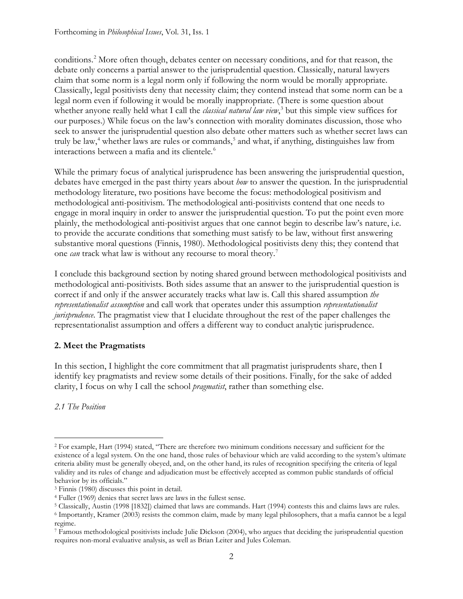conditions. [2](#page-1-0) More often though, debates center on necessary conditions, and for that reason, the debate only concerns a partial answer to the jurisprudential question. Classically, natural lawyers claim that some norm is a legal norm only if following the norm would be morally appropriate. Classically, legal positivists deny that necessity claim; they contend instead that some norm can be a legal norm even if following it would be morally inappropriate. (There is some question about whether anyone really held what I call the *classical natural law view*, [3](#page-1-1) but this simple view suffices for our purposes.) While focus on the law's connection with morality dominates discussion, those who seek to answer the jurisprudential question also debate other matters such as whether secret laws can truly be law,<sup>[4](#page-1-2)</sup> whether laws are rules or commands,<sup>[5](#page-1-3)</sup> and what, if anything, distinguishes law from interactions between a mafia and its clientele.<sup>[6](#page-1-4)</sup>

While the primary focus of analytical jurisprudence has been answering the jurisprudential question, debates have emerged in the past thirty years about *how* to answer the question. In the jurisprudential methodology literature, two positions have become the focus: methodological positivism and methodological anti-positivism. The methodological anti-positivists contend that one needs to engage in moral inquiry in order to answer the jurisprudential question. To put the point even more plainly, the methodological anti-positivist argues that one cannot begin to describe law's nature, i.e. to provide the accurate conditions that something must satisfy to be law, without first answering substantive moral questions (Finnis, 1980). Methodological positivists deny this; they contend that one *can* track what law is without any recourse to moral theory. [7](#page-1-5)

I conclude this background section by noting shared ground between methodological positivists and methodological anti-positivists. Both sides assume that an answer to the jurisprudential question is correct if and only if the answer accurately tracks what law is. Call this shared assumption *the representationalist assumption* and call work that operates under this assumption *representationalist jurisprudence*. The pragmatist view that I elucidate throughout the rest of the paper challenges the representationalist assumption and offers a different way to conduct analytic jurisprudence.

# **2. Meet the Pragmatists**

In this section, I highlight the core commitment that all pragmatist jurisprudents share, then I identify key pragmatists and review some details of their positions. Finally, for the sake of added clarity, I focus on why I call the school *pragmatist*, rather than something else.

*2.1 The Position*

<span id="page-1-0"></span><sup>2</sup> For example, Hart (1994) stated, "There are therefore two minimum conditions necessary and sufficient for the existence of a legal system. On the one hand, those rules of behaviour which are valid according to the system's ultimate criteria ability must be generally obeyed, and, on the other hand, its rules of recognition specifying the criteria of legal validity and its rules of change and adjudication must be effectively accepted as common public standards of official behavior by its officials."

<span id="page-1-1"></span><sup>3</sup> Finnis (1980) discusses this point in detail.

<span id="page-1-2"></span><sup>4</sup> Fuller (1969) denies that secret laws are laws in the fullest sense.

<span id="page-1-3"></span><sup>5</sup> Classically, Austin (1998 [1832]) claimed that laws are commands. Hart (1994) contests this and claims laws are rules.

<span id="page-1-4"></span><sup>6</sup> Importantly, Kramer (2003) resists the common claim, made by many legal philosophers, that a mafia cannot be a legal regime.

<span id="page-1-5"></span><sup>7</sup> Famous methodological positivists include Julie Dickson (2004), who argues that deciding the jurisprudential question requires non-moral evaluative analysis, as well as Brian Leiter and Jules Coleman.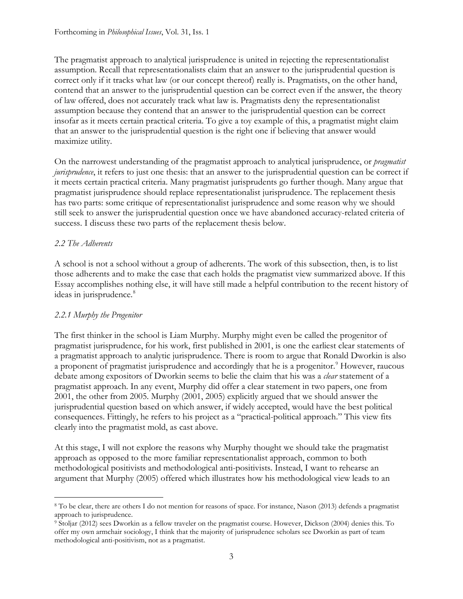The pragmatist approach to analytical jurisprudence is united in rejecting the representationalist assumption. Recall that representationalists claim that an answer to the jurisprudential question is correct only if it tracks what law (or our concept thereof) really is. Pragmatists, on the other hand, contend that an answer to the jurisprudential question can be correct even if the answer, the theory of law offered, does not accurately track what law is. Pragmatists deny the representationalist assumption because they contend that an answer to the jurisprudential question can be correct insofar as it meets certain practical criteria. To give a toy example of this, a pragmatist might claim that an answer to the jurisprudential question is the right one if believing that answer would maximize utility.

On the narrowest understanding of the pragmatist approach to analytical jurisprudence, or *pragmatist jurisprudence*, it refers to just one thesis: that an answer to the jurisprudential question can be correct if it meets certain practical criteria. Many pragmatist jurisprudents go further though. Many argue that pragmatist jurisprudence should replace representationalist jurisprudence. The replacement thesis has two parts: some critique of representationalist jurisprudence and some reason why we should still seek to answer the jurisprudential question once we have abandoned accuracy-related criteria of success. I discuss these two parts of the replacement thesis below.

# *2.2 The Adherents*

A school is not a school without a group of adherents. The work of this subsection, then, is to list those adherents and to make the case that each holds the pragmatist view summarized above. If this Essay accomplishes nothing else, it will have still made a helpful contribution to the recent history of ideas in jurisprudence.<sup>[8](#page-2-0)</sup>

# *2.2.1 Murphy the Progenitor*

The first thinker in the school is Liam Murphy. Murphy might even be called the progenitor of pragmatist jurisprudence, for his work, first published in 2001, is one the earliest clear statements of a pragmatist approach to analytic jurisprudence. There is room to argue that Ronald Dworkin is also a proponent of pragmatist jurisprudence and accordingly that he is a progenitor.<sup>[9](#page-2-1)</sup> However, raucous debate among expositors of Dworkin seems to belie the claim that his was a *clear* statement of a pragmatist approach. In any event, Murphy did offer a clear statement in two papers, one from 2001, the other from 2005. Murphy (2001, 2005) explicitly argued that we should answer the jurisprudential question based on which answer, if widely accepted, would have the best political consequences. Fittingly, he refers to his project as a "practical-political approach." This view fits clearly into the pragmatist mold, as cast above.

At this stage, I will not explore the reasons why Murphy thought we should take the pragmatist approach as opposed to the more familiar representationalist approach, common to both methodological positivists and methodological anti-positivists. Instead, I want to rehearse an argument that Murphy (2005) offered which illustrates how his methodological view leads to an

<span id="page-2-0"></span><sup>8</sup> To be clear, there are others I do not mention for reasons of space. For instance, Nason (2013) defends a pragmatist approach to jurisprudence.

<span id="page-2-1"></span><sup>9</sup> Stoljar (2012) sees Dworkin as a fellow traveler on the pragmatist course. However, Dickson (2004) denies this. To offer my own armchair sociology, I think that the majority of jurisprudence scholars see Dworkin as part of team methodological anti-positivism, not as a pragmatist.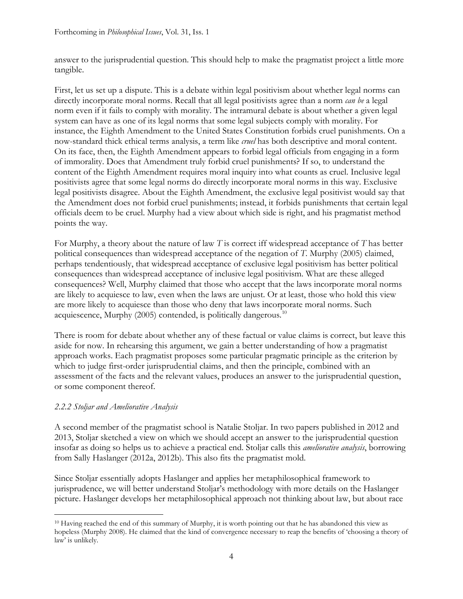answer to the jurisprudential question. This should help to make the pragmatist project a little more tangible.

First, let us set up a dispute. This is a debate within legal positivism about whether legal norms can directly incorporate moral norms. Recall that all legal positivists agree than a norm *can be* a legal norm even if it fails to comply with morality. The intramural debate is about whether a given legal system can have as one of its legal norms that some legal subjects comply with morality. For instance, the Eighth Amendment to the United States Constitution forbids cruel punishments. On a now-standard thick ethical terms analysis, a term like *cruel* has both descriptive and moral content. On its face, then, the Eighth Amendment appears to forbid legal officials from engaging in a form of immorality. Does that Amendment truly forbid cruel punishments? If so, to understand the content of the Eighth Amendment requires moral inquiry into what counts as cruel. Inclusive legal positivists agree that some legal norms do directly incorporate moral norms in this way. Exclusive legal positivists disagree. About the Eighth Amendment, the exclusive legal positivist would say that the Amendment does not forbid cruel punishments; instead, it forbids punishments that certain legal officials deem to be cruel. Murphy had a view about which side is right, and his pragmatist method points the way.

For Murphy, a theory about the nature of law *T* is correct iff widespread acceptance of *T* has better political consequences than widespread acceptance of the negation of *T*. Murphy (2005) claimed, perhaps tendentiously, that widespread acceptance of exclusive legal positivism has better political consequences than widespread acceptance of inclusive legal positivism. What are these alleged consequences? Well, Murphy claimed that those who accept that the laws incorporate moral norms are likely to acquiesce to law, even when the laws are unjust. Or at least, those who hold this view are more likely to acquiesce than those who deny that laws incorporate moral norms. Such acquiescence, Murphy  $(2005)$  contended, is politically dangerous.<sup>[10](#page-3-0)</sup>

There is room for debate about whether any of these factual or value claims is correct, but leave this aside for now. In rehearsing this argument, we gain a better understanding of how a pragmatist approach works. Each pragmatist proposes some particular pragmatic principle as the criterion by which to judge first-order jurisprudential claims, and then the principle, combined with an assessment of the facts and the relevant values, produces an answer to the jurisprudential question, or some component thereof.

# *2.2.2 Stoljar and Ameliorative Analysis*

A second member of the pragmatist school is Natalie Stoljar. In two papers published in 2012 and 2013, Stoljar sketched a view on which we should accept an answer to the jurisprudential question insofar as doing so helps us to achieve a practical end. Stoljar calls this *ameliorative analysis*, borrowing from Sally Haslanger (2012a, 2012b). This also fits the pragmatist mold.

Since Stoljar essentially adopts Haslanger and applies her metaphilosophical framework to jurisprudence, we will better understand Stoljar's methodology with more details on the Haslanger picture. Haslanger develops her metaphilosophical approach not thinking about law, but about race

<span id="page-3-0"></span><sup>&</sup>lt;sup>10</sup> Having reached the end of this summary of Murphy, it is worth pointing out that he has abandoned this view as hopeless (Murphy 2008). He claimed that the kind of convergence necessary to reap the benefits of 'choosing a theory of law' is unlikely.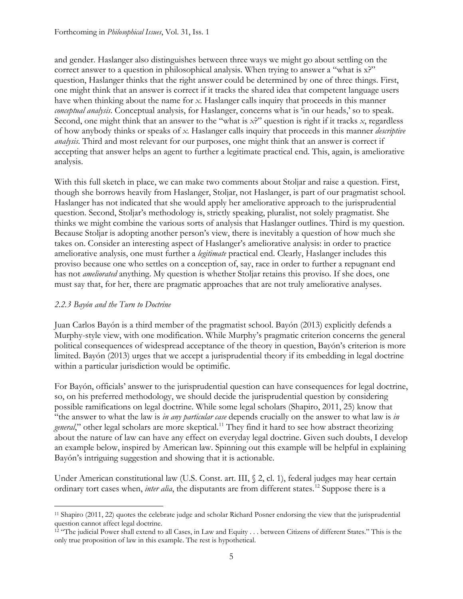and gender. Haslanger also distinguishes between three ways we might go about settling on the correct answer to a question in philosophical analysis. When trying to answer a "what is x?" question, Haslanger thinks that the right answer could be determined by one of three things. First, one might think that an answer is correct if it tracks the shared idea that competent language users have when thinking about the name for *x*. Haslanger calls inquiry that proceeds in this manner *conceptual analysis*. Conceptual analysis, for Haslanger, concerns what is 'in our heads,' so to speak. Second, one might think that an answer to the "what is *x*?" question is right if it tracks *x*, regardless of how anybody thinks or speaks of *x*. Haslanger calls inquiry that proceeds in this manner *descriptive analysis*. Third and most relevant for our purposes, one might think that an answer is correct if accepting that answer helps an agent to further a legitimate practical end. This, again, is ameliorative analysis.

With this full sketch in place, we can make two comments about Stoljar and raise a question. First, though she borrows heavily from Haslanger, Stoljar, not Haslanger, is part of our pragmatist school. Haslanger has not indicated that she would apply her ameliorative approach to the jurisprudential question. Second, Stoljar's methodology is, strictly speaking, pluralist, not solely pragmatist. She thinks we might combine the various sorts of analysis that Haslanger outlines. Third is my question. Because Stoljar is adopting another person's view, there is inevitably a question of how much she takes on. Consider an interesting aspect of Haslanger's ameliorative analysis: in order to practice ameliorative analysis, one must further a *legitimate* practical end. Clearly, Haslanger includes this proviso because one who settles on a conception of, say, race in order to further a repugnant end has not *ameliorated* anything. My question is whether Stoljar retains this proviso. If she does, one must say that, for her, there are pragmatic approaches that are not truly ameliorative analyses.

## *2.2.3 Bayón and the Turn to Doctrine*

Juan Carlos Bayón is a third member of the pragmatist school. Bayón (2013) explicitly defends a Murphy-style view, with one modification. While Murphy's pragmatic criterion concerns the general political consequences of widespread acceptance of the theory in question, Bayón's criterion is more limited. Bayón (2013) urges that we accept a jurisprudential theory if its embedding in legal doctrine within a particular jurisdiction would be optimific.

For Bayón, officials' answer to the jurisprudential question can have consequences for legal doctrine, so, on his preferred methodology, we should decide the jurisprudential question by considering possible ramifications on legal doctrine. While some legal scholars (Shapiro, 2011, 25) know that "the answer to what the law is *in any particular case* depends crucially on the answer to what law is *in*  general," other legal scholars are more skeptical.<sup>[11](#page-4-0)</sup> They find it hard to see how abstract theorizing about the nature of law can have any effect on everyday legal doctrine. Given such doubts, I develop an example below, inspired by American law. Spinning out this example will be helpful in explaining Bayón's intriguing suggestion and showing that it is actionable.

Under American constitutional law (U.S. Const. art. III, § 2, cl. 1), federal judges may hear certain ordinary tort cases when, *inter alia*, the disputants are from different states.<sup>[12](#page-4-1)</sup> Suppose there is a

<span id="page-4-0"></span><sup>11</sup> Shapiro (2011, 22) quotes the celebrate judge and scholar Richard Posner endorsing the view that the jurisprudential question cannot affect legal doctrine.

<span id="page-4-1"></span><sup>&</sup>lt;sup>12</sup> "The judicial Power shall extend to all Cases, in Law and Equity . . . between Citizens of different States." This is the only true proposition of law in this example. The rest is hypothetical.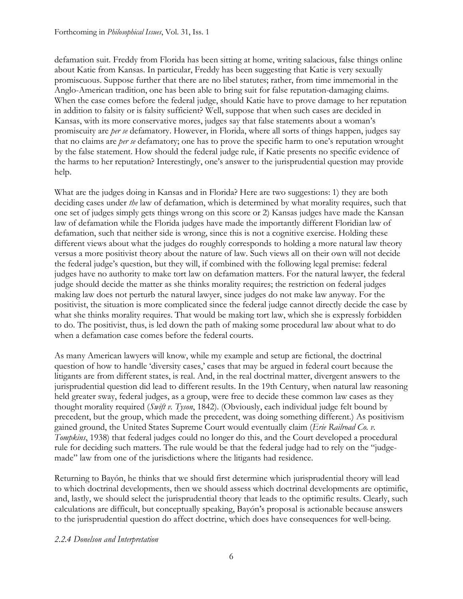defamation suit. Freddy from Florida has been sitting at home, writing salacious, false things online about Katie from Kansas. In particular, Freddy has been suggesting that Katie is very sexually promiscuous. Suppose further that there are no libel statutes; rather, from time immemorial in the Anglo-American tradition, one has been able to bring suit for false reputation-damaging claims. When the case comes before the federal judge, should Katie have to prove damage to her reputation in addition to falsity or is falsity sufficient? Well, suppose that when such cases are decided in Kansas, with its more conservative mores, judges say that false statements about a woman's promiscuity are *per se* defamatory. However, in Florida, where all sorts of things happen, judges say that no claims are *per se* defamatory; one has to prove the specific harm to one's reputation wrought by the false statement. How should the federal judge rule, if Katie presents no specific evidence of the harms to her reputation? Interestingly, one's answer to the jurisprudential question may provide help.

What are the judges doing in Kansas and in Florida? Here are two suggestions: 1) they are both deciding cases under *the* law of defamation, which is determined by what morality requires, such that one set of judges simply gets things wrong on this score or 2) Kansas judges have made the Kansan law of defamation while the Florida judges have made the importantly different Floridian law of defamation, such that neither side is wrong, since this is not a cognitive exercise. Holding these different views about what the judges do roughly corresponds to holding a more natural law theory versus a more positivist theory about the nature of law. Such views all on their own will not decide the federal judge's question, but they will, if combined with the following legal premise: federal judges have no authority to make tort law on defamation matters. For the natural lawyer, the federal judge should decide the matter as she thinks morality requires; the restriction on federal judges making law does not perturb the natural lawyer, since judges do not make law anyway. For the positivist, the situation is more complicated since the federal judge cannot directly decide the case by what she thinks morality requires. That would be making tort law, which she is expressly forbidden to do. The positivist, thus, is led down the path of making some procedural law about what to do when a defamation case comes before the federal courts.

As many American lawyers will know, while my example and setup are fictional, the doctrinal question of how to handle 'diversity cases,' cases that may be argued in federal court because the litigants are from different states, is real. And, in the real doctrinal matter, divergent answers to the jurisprudential question did lead to different results. In the 19th Century, when natural law reasoning held greater sway, federal judges, as a group, were free to decide these common law cases as they thought morality required (*Swift v. Tyson*, 1842). (Obviously, each individual judge felt bound by precedent, but the group, which made the precedent, was doing something different.) As positivism gained ground, the United States Supreme Court would eventually claim (*Erie Railroad Co. v. Tompkins*, 1938) that federal judges could no longer do this, and the Court developed a procedural rule for deciding such matters. The rule would be that the federal judge had to rely on the "judgemade" law from one of the jurisdictions where the litigants had residence.

Returning to Bayón, he thinks that we should first determine which jurisprudential theory will lead to which doctrinal developments, then we should assess which doctrinal developments are optimific, and, lastly, we should select the jurisprudential theory that leads to the optimific results. Clearly, such calculations are difficult, but conceptually speaking, Bayón's proposal is actionable because answers to the jurisprudential question do affect doctrine, which does have consequences for well-being.

#### *2.2.4 Donelson and Interpretation*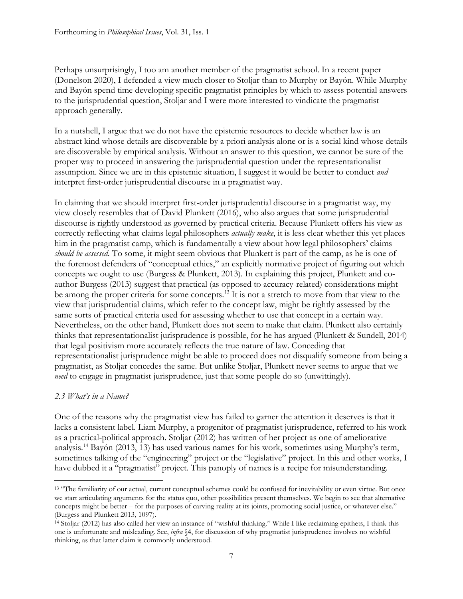Perhaps unsurprisingly, I too am another member of the pragmatist school. In a recent paper (Donelson 2020), I defended a view much closer to Stoljar than to Murphy or Bayón. While Murphy and Bayón spend time developing specific pragmatist principles by which to assess potential answers to the jurisprudential question, Stoljar and I were more interested to vindicate the pragmatist approach generally.

In a nutshell, I argue that we do not have the epistemic resources to decide whether law is an abstract kind whose details are discoverable by a priori analysis alone or is a social kind whose details are discoverable by empirical analysis. Without an answer to this question, we cannot be sure of the proper way to proceed in answering the jurisprudential question under the representationalist assumption. Since we are in this epistemic situation, I suggest it would be better to conduct *and* interpret first-order jurisprudential discourse in a pragmatist way.

In claiming that we should interpret first-order jurisprudential discourse in a pragmatist way, my view closely resembles that of David Plunkett (2016), who also argues that some jurisprudential discourse is rightly understood as governed by practical criteria. Because Plunkett offers his view as correctly reflecting what claims legal philosophers *actually make*, it is less clear whether this yet places him in the pragmatist camp, which is fundamentally a view about how legal philosophers' claims *should be assessed*. To some, it might seem obvious that Plunkett is part of the camp, as he is one of the foremost defenders of "conceptual ethics," an explicitly normative project of figuring out which concepts we ought to use (Burgess & Plunkett, 2013). In explaining this project, Plunkett and coauthor Burgess (2013) suggest that practical (as opposed to accuracy-related) considerations might be among the proper criteria for some concepts.<sup>[13](#page-6-0)</sup> It is not a stretch to move from that view to the view that jurisprudential claims, which refer to the concept law, might be rightly assessed by the same sorts of practical criteria used for assessing whether to use that concept in a certain way. Nevertheless, on the other hand, Plunkett does not seem to make that claim. Plunkett also certainly thinks that representationalist jurisprudence is possible, for he has argued (Plunkett & Sundell, 2014) that legal positivism more accurately reflects the true nature of law. Conceding that representationalist jurisprudence might be able to proceed does not disqualify someone from being a pragmatist, as Stoljar concedes the same. But unlike Stoljar, Plunkett never seems to argue that we *need* to engage in pragmatist jurisprudence, just that some people do so (unwittingly).

## *2.3 What's in a Name?*

One of the reasons why the pragmatist view has failed to garner the attention it deserves is that it lacks a consistent label. Liam Murphy, a progenitor of pragmatist jurisprudence, referred to his work as a practical-political approach. Stoljar (2012) has written of her project as one of ameliorative analysis.[14](#page-6-1) Bayón (2013, 13) has used various names for his work, sometimes using Murphy's term, sometimes talking of the "engineering" project or the "legislative" project. In this and other works, I have dubbed it a "pragmatist" project. This panoply of names is a recipe for misunderstanding.

<span id="page-6-0"></span><sup>&</sup>lt;sup>13</sup> "The familiarity of our actual, current conceptual schemes could be confused for inevitability or even virtue. But once we start articulating arguments for the status quo, other possibilities present themselves. We begin to see that alternative concepts might be better – for the purposes of carving reality at its joints, promoting social justice, or whatever else." (Burgess and Plunkett 2013, 1097).

<span id="page-6-1"></span><sup>14</sup> Stoljar (2012) has also called her view an instance of "wishful thinking." While I like reclaiming epithets, I think this one is unfortunate and misleading. See, *infra* §4, for discussion of why pragmatist jurisprudence involves no wishful thinking, as that latter claim is commonly understood.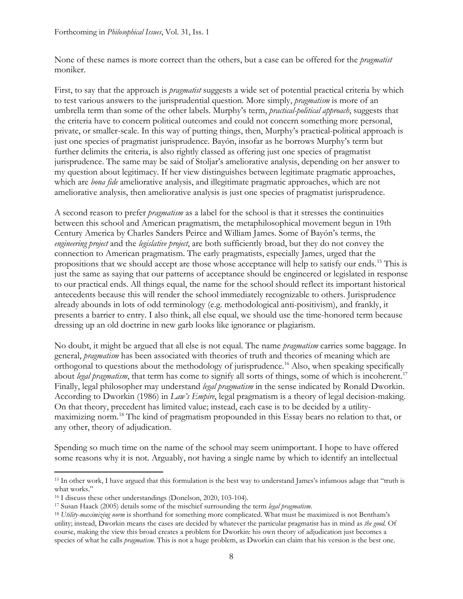None of these names is more correct than the others, but a case can be offered for the *pragmatist* moniker.

First, to say that the approach is *pragmatist* suggests a wide set of potential practical criteria by which to test various answers to the jurisprudential question. More simply, *pragmatism* is more of an umbrella term than some of the other labels. Murphy's term, *practical-political approach*, suggests that the criteria have to concern political outcomes and could not concern something more personal, private, or smaller-scale. In this way of putting things, then, Murphy's practical-political approach is just one species of pragmatist jurisprudence. Bayón, insofar as he borrows Murphy's term but further delimits the criteria, is also rightly classed as offering just one species of pragmatist jurisprudence. The same may be said of Stoljar's ameliorative analysis, depending on her answer to my question about legitimacy. If her view distinguishes between legitimate pragmatic approaches, which are *bona fide* ameliorative analysis, and illegitimate pragmatic approaches, which are not ameliorative analysis, then ameliorative analysis is just one species of pragmatist jurisprudence.

A second reason to prefer *pragmatism* as a label for the school is that it stresses the continuities between this school and American pragmatism, the metaphilosophical movement begun in 19th Century America by Charles Sanders Peirce and William James. Some of Bayón's terms, the *engineering project* and the *legislative project*, are both sufficiently broad, but they do not convey the connection to American pragmatism. The early pragmatists, especially James, urged that the propositions that we should accept are those whose acceptance will help to satisfy our ends.[15](#page-7-0) This is just the same as saying that our patterns of acceptance should be engineered or legislated in response to our practical ends. All things equal, the name for the school should reflect its important historical antecedents because this will render the school immediately recognizable to others. Jurisprudence already abounds in lots of odd terminology (e.g. methodological anti-positivism), and frankly, it presents a barrier to entry. I also think, all else equal, we should use the time-honored term because dressing up an old doctrine in new garb looks like ignorance or plagiarism.

No doubt, it might be argued that all else is not equal. The name *pragmatism* carries some baggage. In general, *pragmatism* has been associated with theories of truth and theories of meaning which are orthogonal to questions about the methodology of jurisprudence.<sup>[16](#page-7-1)</sup> Also, when speaking specifically about *legal pragmatism*, that term has come to signify all sorts of things, some of which is incoherent.<sup>[17](#page-7-2)</sup> Finally, legal philosopher may understand *legal pragmatism* in the sense indicated by Ronald Dworkin. According to Dworkin (1986) in *Law's Empire*, legal pragmatism is a theory of legal decision-making. On that theory, precedent has limited value; instead, each case is to be decided by a utilitymaximizing norm. [18](#page-7-3) The kind of pragmatism propounded in this Essay bears no relation to that, or any other, theory of adjudication.

Spending so much time on the name of the school may seem unimportant. I hope to have offered some reasons why it is not. Arguably, not having a single name by which to identify an intellectual

<span id="page-7-0"></span><sup>15</sup> In other work, I have argued that this formulation is the best way to understand James's infamous adage that "truth is what works."

<span id="page-7-1"></span><sup>16</sup> I discuss these other understandings (Donelson, 2020, 103-104).

<span id="page-7-2"></span><sup>17</sup> Susan Haack (2005) details some of the mischief surrounding the term *legal pragmatism*.

<span id="page-7-3"></span><sup>18</sup> *Utility-maximizing norm* is shorthand for something more complicated. What must be maximized is not Bentham's utility; instead, Dworkin means the cases are decided by whatever the particular pragmatist has in mind as *the good*. Of course, making the view this broad creates a problem for Dworkin: his own theory of adjudication just becomes a species of what he calls *pragmatism*. This is not a huge problem, as Dworkin can claim that his version is the best one.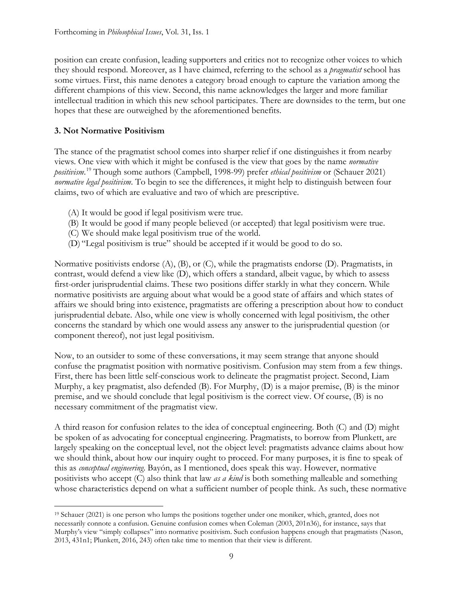position can create confusion, leading supporters and critics not to recognize other voices to which they should respond. Moreover, as I have claimed, referring to the school as a *pragmatist* school has some virtues. First, this name denotes a category broad enough to capture the variation among the different champions of this view. Second, this name acknowledges the larger and more familiar intellectual tradition in which this new school participates. There are downsides to the term, but one hopes that these are outweighed by the aforementioned benefits.

## **3. Not Normative Positivism**

The stance of the pragmatist school comes into sharper relief if one distinguishes it from nearby views. One view with which it might be confused is the view that goes by the name *normative positivism*. [19](#page-8-0) Though some authors (Campbell, 1998-99) prefer *ethical positivism* or (Schauer 2021) *normative legal positivism*. To begin to see the differences, it might help to distinguish between four claims, two of which are evaluative and two of which are prescriptive.

- (A) It would be good if legal positivism were true.
- (B) It would be good if many people believed (or accepted) that legal positivism were true.
- (C) We should make legal positivism true of the world.
- (D) "Legal positivism is true" should be accepted if it would be good to do so.

Normative positivists endorse (A), (B), or (C), while the pragmatists endorse (D). Pragmatists, in contrast, would defend a view like (D), which offers a standard, albeit vague, by which to assess first-order jurisprudential claims. These two positions differ starkly in what they concern. While normative positivists are arguing about what would be a good state of affairs and which states of affairs we should bring into existence, pragmatists are offering a prescription about how to conduct jurisprudential debate. Also, while one view is wholly concerned with legal positivism, the other concerns the standard by which one would assess any answer to the jurisprudential question (or component thereof), not just legal positivism.

Now, to an outsider to some of these conversations, it may seem strange that anyone should confuse the pragmatist position with normative positivism. Confusion may stem from a few things. First, there has been little self-conscious work to delineate the pragmatist project. Second, Liam Murphy, a key pragmatist, also defended (B). For Murphy, (D) is a major premise, (B) is the minor premise, and we should conclude that legal positivism is the correct view. Of course, (B) is no necessary commitment of the pragmatist view.

A third reason for confusion relates to the idea of conceptual engineering. Both (C) and (D) might be spoken of as advocating for conceptual engineering. Pragmatists, to borrow from Plunkett, are largely speaking on the conceptual level, not the object level: pragmatists advance claims about how we should think, about how our inquiry ought to proceed. For many purposes, it is fine to speak of this as *conceptual engineering*. Bayón, as I mentioned, does speak this way. However, normative positivists who accept (C) also think that law *as a kind* is both something malleable and something whose characteristics depend on what a sufficient number of people think. As such, these normative

<span id="page-8-0"></span><sup>19</sup> Schauer (2021) is one person who lumps the positions together under one moniker, which, granted, does not necessarily connote a confusion. Genuine confusion comes when Coleman (2003, 201n36), for instance, says that Murphy's view "simply collapses" into normative positivism. Such confusion happens enough that pragmatists (Nason, 2013, 431n1; Plunkett, 2016, 243) often take time to mention that their view is different.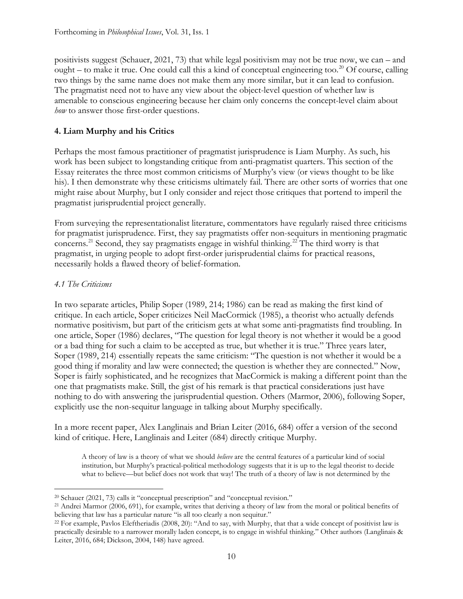positivists suggest (Schauer, 2021, 73) that while legal positivism may not be true now, we can – and ought – to make it true. One could call this a kind of conceptual engineering too.<sup>[20](#page-9-0)</sup> Of course, calling two things by the same name does not make them any more similar, but it can lead to confusion. The pragmatist need not to have any view about the object-level question of whether law is amenable to conscious engineering because her claim only concerns the concept-level claim about *how* to answer those first-order questions.

## **4. Liam Murphy and his Critics**

Perhaps the most famous practitioner of pragmatist jurisprudence is Liam Murphy. As such, his work has been subject to longstanding critique from anti-pragmatist quarters. This section of the Essay reiterates the three most common criticisms of Murphy's view (or views thought to be like his). I then demonstrate why these criticisms ultimately fail. There are other sorts of worries that one might raise about Murphy, but I only consider and reject those critiques that portend to imperil the pragmatist jurisprudential project generally.

From surveying the representationalist literature, commentators have regularly raised three criticisms for pragmatist jurisprudence. First, they say pragmatists offer non-sequiturs in mentioning pragmatic concerns.[21](#page-9-1) Second, they say pragmatists engage in wishful thinking.[22](#page-9-2) The third worry is that pragmatist, in urging people to adopt first-order jurisprudential claims for practical reasons, necessarily holds a flawed theory of belief-formation.

## *4.1 The Criticisms*

In two separate articles, Philip Soper (1989, 214; 1986) can be read as making the first kind of critique. In each article, Soper criticizes Neil MacCormick (1985), a theorist who actually defends normative positivism, but part of the criticism gets at what some anti-pragmatists find troubling. In one article, Soper (1986) declares, "The question for legal theory is not whether it would be a good or a bad thing for such a claim to be accepted as true, but whether it is true." Three years later, Soper (1989, 214) essentially repeats the same criticism: "The question is not whether it would be a good thing if morality and law were connected; the question is whether they are connected." Now, Soper is fairly sophisticated, and he recognizes that MacCormick is making a different point than the one that pragmatists make. Still, the gist of his remark is that practical considerations just have nothing to do with answering the jurisprudential question. Others (Marmor, 2006), following Soper, explicitly use the non-sequitur language in talking about Murphy specifically.

In a more recent paper, Alex Langlinais and Brian Leiter (2016, 684) offer a version of the second kind of critique. Here, Langlinais and Leiter (684) directly critique Murphy.

A theory of law is a theory of what we should *believe* are the central features of a particular kind of social institution, but Murphy's practical-political methodology suggests that it is up to the legal theorist to decide what to believe—but belief does not work that way! The truth of a theory of law is not determined by the

<span id="page-9-0"></span><sup>20</sup> Schauer (2021, 73) calls it "conceptual prescription" and "conceptual revision."

<span id="page-9-1"></span><sup>21</sup> Andrei Marmor (2006, 691), for example, writes that deriving a theory of law from the moral or political benefits of believing that law has a particular nature "is all too clearly a non sequitur."

<span id="page-9-2"></span><sup>22</sup> For example, Pavlos Eleftheriadis (2008, 20): "And to say, with Murphy, that that a wide concept of positivist law is practically desirable to a narrower morally laden concept, is to engage in wishful thinking." Other authors (Langlinais & Leiter, 2016, 684; Dickson, 2004, 148) have agreed.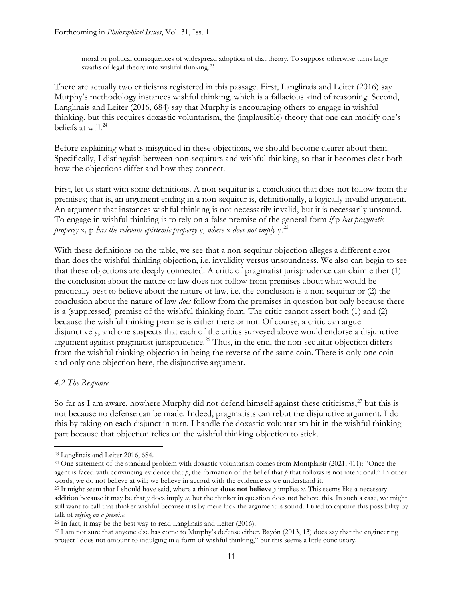moral or political consequences of widespread adoption of that theory. To suppose otherwise turns large swaths of legal theory into wishful thinking.[23](#page-10-0)

There are actually two criticisms registered in this passage. First, Langlinais and Leiter (2016) say Murphy's methodology instances wishful thinking, which is a fallacious kind of reasoning. Second, Langlinais and Leiter (2016, 684) say that Murphy is encouraging others to engage in wishful thinking, but this requires doxastic voluntarism, the (implausible) theory that one can modify one's beliefs at will.<sup>[24](#page-10-1)</sup>

Before explaining what is misguided in these objections, we should become clearer about them. Specifically, I distinguish between non-sequiturs and wishful thinking, so that it becomes clear both how the objections differ and how they connect.

First, let us start with some definitions. A non-sequitur is a conclusion that does not follow from the premises; that is, an argument ending in a non-sequitur is, definitionally, a logically invalid argument. An argument that instances wishful thinking is not necessarily invalid, but it is necessarily unsound. To engage in wishful thinking is to rely on a false premise of the general form *if* p *has pragmatic property* x*,* p *has the relevant epistemic property* y*, where* x *does not imply* y.[25](#page-10-2)

With these definitions on the table, we see that a non-sequitur objection alleges a different error than does the wishful thinking objection, i.e. invalidity versus unsoundness. We also can begin to see that these objections are deeply connected. A critic of pragmatist jurisprudence can claim either (1) the conclusion about the nature of law does not follow from premises about what would be practically best to believe about the nature of law, i.e. the conclusion is a non-sequitur or (2) the conclusion about the nature of law *does* follow from the premises in question but only because there is a (suppressed) premise of the wishful thinking form. The critic cannot assert both (1) and (2) because the wishful thinking premise is either there or not. Of course, a critic can argue disjunctively, and one suspects that each of the critics surveyed above would endorse a disjunctive argument against pragmatist jurisprudence.<sup>[26](#page-10-3)</sup> Thus, in the end, the non-sequitur objection differs from the wishful thinking objection in being the reverse of the same coin. There is only one coin and only one objection here, the disjunctive argument.

## *4.2 The Response*

So far as I am aware, nowhere Murphy did not defend himself against these criticisms,<sup>[27](#page-10-4)</sup> but this is not because no defense can be made. Indeed, pragmatists can rebut the disjunctive argument. I do this by taking on each disjunct in turn. I handle the doxastic voluntarism bit in the wishful thinking part because that objection relies on the wishful thinking objection to stick.

<span id="page-10-0"></span><sup>23</sup> Langlinais and Leiter 2016, 684.

<span id="page-10-1"></span><sup>&</sup>lt;sup>24</sup> One statement of the standard problem with doxastic voluntarism comes from Montplaisir (2021, 411): "Once the agent is faced with convincing evidence that *p*, the formation of the belief that *p* that follows is not intentional." In other words, we do not believe at will; we believe in accord with the evidence as we understand it.

<span id="page-10-2"></span><sup>25</sup> It might seem that I should have said, where a thinker **does not believe** *y* implies *x*. This seems like a necessary addition because it may be that *y* does imply *x*, but the thinker in question does not believe this. In such a case, we might still want to call that thinker wishful because it is by mere luck the argument is sound. I tried to capture this possibility by talk of *relying on a premise*.

<span id="page-10-3"></span><sup>26</sup> In fact, it may be the best way to read Langlinais and Leiter (2016).

<span id="page-10-4"></span><sup>27</sup> I am not sure that anyone else has come to Murphy's defense either. Bayón (2013, 13) does say that the engineering project "does not amount to indulging in a form of wishful thinking," but this seems a little conclusory.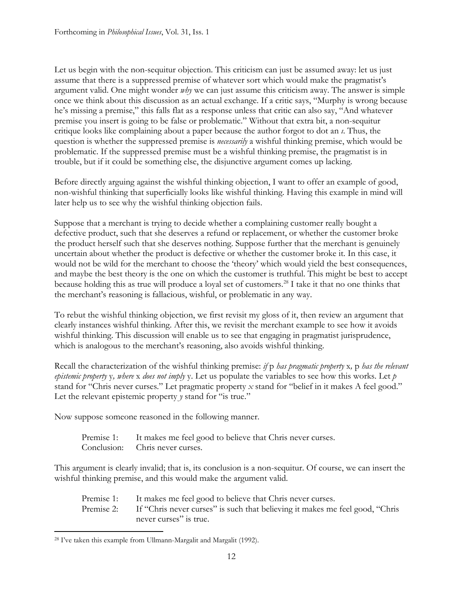Let us begin with the non-sequitur objection. This criticism can just be assumed away: let us just assume that there is a suppressed premise of whatever sort which would make the pragmatist's argument valid. One might wonder *why* we can just assume this criticism away. The answer is simple once we think about this discussion as an actual exchange. If a critic says, "Murphy is wrong because he's missing a premise," this falls flat as a response unless that critic can also say, "And whatever premise you insert is going to be false or problematic." Without that extra bit, a non-sequitur critique looks like complaining about a paper because the author forgot to dot an *ı*. Thus, the question is whether the suppressed premise is *necessarily* a wishful thinking premise, which would be problematic. If the suppressed premise must be a wishful thinking premise, the pragmatist is in trouble, but if it could be something else, the disjunctive argument comes up lacking.

Before directly arguing against the wishful thinking objection, I want to offer an example of good, non-wishful thinking that superficially looks like wishful thinking. Having this example in mind will later help us to see why the wishful thinking objection fails.

Suppose that a merchant is trying to decide whether a complaining customer really bought a defective product, such that she deserves a refund or replacement, or whether the customer broke the product herself such that she deserves nothing. Suppose further that the merchant is genuinely uncertain about whether the product is defective or whether the customer broke it. In this case, it would not be wild for the merchant to choose the 'theory' which would yield the best consequences, and maybe the best theory is the one on which the customer is truthful. This might be best to accept because holding this as true will produce a loyal set of customers.[28](#page-11-0) I take it that no one thinks that the merchant's reasoning is fallacious, wishful, or problematic in any way.

To rebut the wishful thinking objection, we first revisit my gloss of it, then review an argument that clearly instances wishful thinking. After this, we revisit the merchant example to see how it avoids wishful thinking. This discussion will enable us to see that engaging in pragmatist jurisprudence, which is analogous to the merchant's reasoning, also avoids wishful thinking.

Recall the characterization of the wishful thinking premise: *if* p *has pragmatic property* x*,* p *has the relevant epistemic property* y*, where* x *does not imply* y. Let us populate the variables to see how this works. Let *p* stand for "Chris never curses." Let pragmatic property *x* stand for "belief in it makes A feel good." Let the relevant epistemic property *y* stand for "is true."

Now suppose someone reasoned in the following manner.

Premise 1: It makes me feel good to believe that Chris never curses. Conclusion: Chris never curses.

This argument is clearly invalid; that is, its conclusion is a non-sequitur. Of course, we can insert the wishful thinking premise, and this would make the argument valid.

| Premise 1: It makes me feel good to believe that Chris never curses.                     |
|------------------------------------------------------------------------------------------|
| Premise 2: If "Chris never curses" is such that believing it makes me feel good, "Chris" |
| never curses" is true.                                                                   |

<span id="page-11-0"></span><sup>28</sup> I've taken this example from Ullmann-Margalit and Margalit (1992).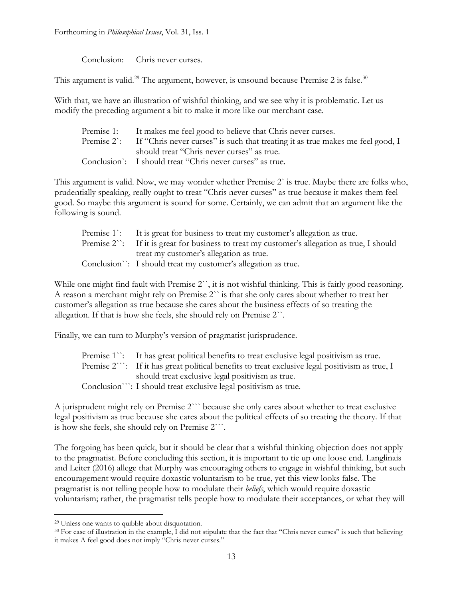Forthcoming in *Philosophical Issues*, Vol. 31, Iss. 1

Conclusion: Chris never curses.

This argument is valid.<sup>[29](#page-12-0)</sup> The argument, however, is unsound because Premise 2 is false.<sup>[30](#page-12-1)</sup>

With that, we have an illustration of wishful thinking, and we see why it is problematic. Let us modify the preceding argument a bit to make it more like our merchant case.

| Premise 1: It makes me feel good to believe that Chris never curses.                      |
|-------------------------------------------------------------------------------------------|
| Premise 2: If "Chris never curses" is such that treating it as true makes me feel good, I |
| should treat "Chris never curses" as true.                                                |
| Conclusion: I should treat "Chris never curses" as true.                                  |

This argument is valid. Now, we may wonder whether Premise 2` is true. Maybe there are folks who, prudentially speaking, really ought to treat "Chris never curses" as true because it makes them feel good. So maybe this argument is sound for some. Certainly, we can admit that an argument like the following is sound.

| Premise 1: It is great for business to treat my customer's allegation as true.                        |
|-------------------------------------------------------------------------------------------------------|
| Premise $2^{\cdot}$ : If it is great for business to treat my customer's allegation as true, I should |
| treat my customer's allegation as true.                                                               |
| Conclusion": I should treat my customer's allegation as true.                                         |
|                                                                                                       |

While one might find fault with Premise 2``, it is not wishful thinking. This is fairly good reasoning. A reason a merchant might rely on Premise 2`` is that she only cares about whether to treat her customer's allegation as true because she cares about the business effects of so treating the allegation. If that is how she feels, she should rely on Premise 2``.

Finally, we can turn to Murphy's version of pragmatist jurisprudence.

| Premise 1 <sup>1</sup> : It has great political benefits to treat exclusive legal positivism as true.    |
|----------------------------------------------------------------------------------------------------------|
| Premise $2^{\cdots}$ : If it has great political benefits to treat exclusive legal positivism as true, I |
| should treat exclusive legal positivism as true.                                                         |
| Conclusion": I should treat exclusive legal positivism as true.                                          |
|                                                                                                          |

A jurisprudent might rely on Premise 2``` because she only cares about whether to treat exclusive legal positivism as true because she cares about the political effects of so treating the theory. If that is how she feels, she should rely on Premise 2```.

The forgoing has been quick, but it should be clear that a wishful thinking objection does not apply to the pragmatist. Before concluding this section, it is important to tie up one loose end. Langlinais and Leiter (2016) allege that Murphy was encouraging others to engage in wishful thinking, but such encouragement would require doxastic voluntarism to be true, yet this view looks false. The pragmatist is not telling people how to modulate their *beliefs*, which would require doxastic voluntarism; rather, the pragmatist tells people how to modulate their acceptances, or what they will

<span id="page-12-0"></span><sup>29</sup> Unless one wants to quibble about disquotation.

<span id="page-12-1"></span><sup>30</sup> For ease of illustration in the example, I did not stipulate that the fact that "Chris never curses" is such that believing it makes A feel good does not imply "Chris never curses."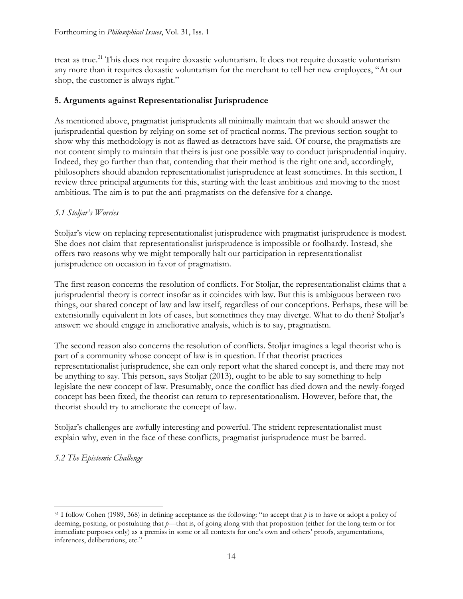treat as true.<sup>[31](#page-13-0)</sup> This does not require doxastic voluntarism. It does not require doxastic voluntarism any more than it requires doxastic voluntarism for the merchant to tell her new employees, "At our shop, the customer is always right."

## **5. Arguments against Representationalist Jurisprudence**

As mentioned above, pragmatist jurisprudents all minimally maintain that we should answer the jurisprudential question by relying on some set of practical norms. The previous section sought to show why this methodology is not as flawed as detractors have said. Of course, the pragmatists are not content simply to maintain that theirs is just one possible way to conduct jurisprudential inquiry. Indeed, they go further than that, contending that their method is the right one and, accordingly, philosophers should abandon representationalist jurisprudence at least sometimes. In this section, I review three principal arguments for this, starting with the least ambitious and moving to the most ambitious. The aim is to put the anti-pragmatists on the defensive for a change.

## *5.1 Stoljar's Worries*

Stoljar's view on replacing representationalist jurisprudence with pragmatist jurisprudence is modest. She does not claim that representationalist jurisprudence is impossible or foolhardy. Instead, she offers two reasons why we might temporally halt our participation in representationalist jurisprudence on occasion in favor of pragmatism.

The first reason concerns the resolution of conflicts. For Stoljar, the representationalist claims that a jurisprudential theory is correct insofar as it coincides with law. But this is ambiguous between two things, our shared concept of law and law itself, regardless of our conceptions. Perhaps, these will be extensionally equivalent in lots of cases, but sometimes they may diverge. What to do then? Stoljar's answer: we should engage in ameliorative analysis, which is to say, pragmatism.

The second reason also concerns the resolution of conflicts. Stoljar imagines a legal theorist who is part of a community whose concept of law is in question. If that theorist practices representationalist jurisprudence, she can only report what the shared concept is, and there may not be anything to say. This person, says Stoljar (2013), ought to be able to say something to help legislate the new concept of law. Presumably, once the conflict has died down and the newly-forged concept has been fixed, the theorist can return to representationalism. However, before that, the theorist should try to ameliorate the concept of law.

Stoljar's challenges are awfully interesting and powerful. The strident representationalist must explain why, even in the face of these conflicts, pragmatist jurisprudence must be barred.

# *5.2 The Epistemic Challenge*

<span id="page-13-0"></span><sup>&</sup>lt;sup>31</sup> I follow Cohen (1989, 368) in defining acceptance as the following: "to accept that  $\phi$  is to have or adopt a policy of deeming, positing, or postulating that *p*—that is, of going along with that proposition (either for the long term or for immediate purposes only) as a premiss in some or all contexts for one's own and others' proofs, argumentations, inferences, deliberations, etc."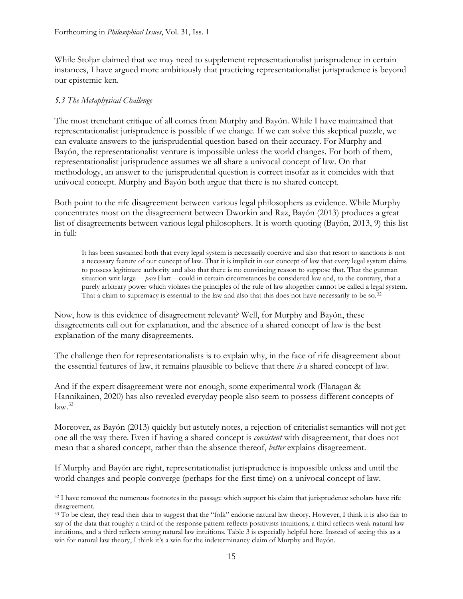While Stoljar claimed that we may need to supplement representationalist jurisprudence in certain instances, I have argued more ambitiously that practicing representationalist jurisprudence is beyond our epistemic ken.

## *5.3 The Metaphysical Challenge*

The most trenchant critique of all comes from Murphy and Bayón. While I have maintained that representationalist jurisprudence is possible if we change. If we can solve this skeptical puzzle, we can evaluate answers to the jurisprudential question based on their accuracy. For Murphy and Bayón, the representationalist venture is impossible unless the world changes. For both of them, representationalist jurisprudence assumes we all share a univocal concept of law. On that methodology, an answer to the jurisprudential question is correct insofar as it coincides with that univocal concept. Murphy and Bayón both argue that there is no shared concept.

Both point to the rife disagreement between various legal philosophers as evidence. While Murphy concentrates most on the disagreement between Dworkin and Raz, Bayón (2013) produces a great list of disagreements between various legal philosophers. It is worth quoting (Bayón, 2013, 9) this list in full:

It has been sustained both that every legal system is necessarily coercive and also that resort to sanctions is not a necessary feature of our concept of law. That it is implicit in our concept of law that every legal system claims to possess legitimate authority and also that there is no convincing reason to suppose that. That the gunman situation writ large— *pace* Hart—could in certain circumstances be considered law and, to the contrary, that a purely arbitrary power which violates the principles of the rule of law altogether cannot be called a legal system. That a claim to supremacy is essential to the law and also that this does not have necessarily to be so. $32$ 

Now, how is this evidence of disagreement relevant? Well, for Murphy and Bayón, these disagreements call out for explanation, and the absence of a shared concept of law is the best explanation of the many disagreements.

The challenge then for representationalists is to explain why, in the face of rife disagreement about the essential features of law, it remains plausible to believe that there *is* a shared concept of law.

And if the expert disagreement were not enough, some experimental work (Flanagan & Hannikainen, 2020) has also revealed everyday people also seem to possess different concepts of  $law.<sup>33</sup>$  $law.<sup>33</sup>$  $law.<sup>33</sup>$ 

Moreover, as Bayón (2013) quickly but astutely notes, a rejection of criterialist semantics will not get one all the way there. Even if having a shared concept is *consistent* with disagreement, that does not mean that a shared concept, rather than the absence thereof, *better* explains disagreement.

If Murphy and Bayón are right, representationalist jurisprudence is impossible unless and until the world changes and people converge (perhaps for the first time) on a univocal concept of law.

<span id="page-14-0"></span><sup>&</sup>lt;sup>32</sup> I have removed the numerous footnotes in the passage which support his claim that jurisprudence scholars have rife disagreement.

<span id="page-14-1"></span><sup>33</sup> To be clear, they read their data to suggest that the "folk" endorse natural law theory. However, I think it is also fair to say of the data that roughly a third of the response pattern reflects positivists intuitions, a third reflects weak natural law intuitions, and a third reflects strong natural law intuitions. Table 3 is especially helpful here. Instead of seeing this as a win for natural law theory, I think it's a win for the indeterminancy claim of Murphy and Bayón.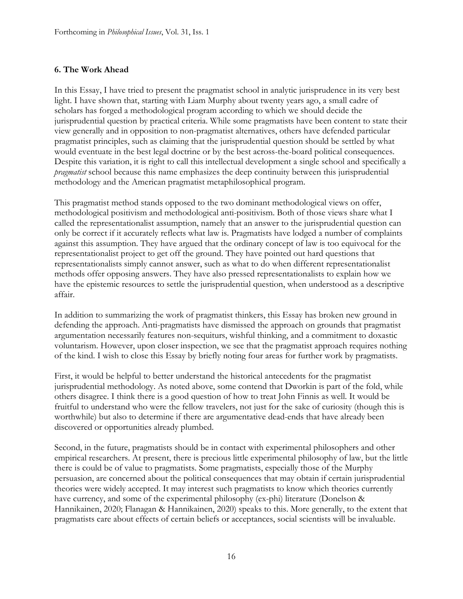## **6. The Work Ahead**

In this Essay, I have tried to present the pragmatist school in analytic jurisprudence in its very best light. I have shown that, starting with Liam Murphy about twenty years ago, a small cadre of scholars has forged a methodological program according to which we should decide the jurisprudential question by practical criteria. While some pragmatists have been content to state their view generally and in opposition to non-pragmatist alternatives, others have defended particular pragmatist principles, such as claiming that the jurisprudential question should be settled by what would eventuate in the best legal doctrine or by the best across-the-board political consequences. Despite this variation, it is right to call this intellectual development a single school and specifically a *pragmatist* school because this name emphasizes the deep continuity between this jurisprudential methodology and the American pragmatist metaphilosophical program.

This pragmatist method stands opposed to the two dominant methodological views on offer, methodological positivism and methodological anti-positivism. Both of those views share what I called the representationalist assumption, namely that an answer to the jurisprudential question can only be correct if it accurately reflects what law is. Pragmatists have lodged a number of complaints against this assumption. They have argued that the ordinary concept of law is too equivocal for the representationalist project to get off the ground. They have pointed out hard questions that representationalists simply cannot answer, such as what to do when different representationalist methods offer opposing answers. They have also pressed representationalists to explain how we have the epistemic resources to settle the jurisprudential question, when understood as a descriptive affair.

In addition to summarizing the work of pragmatist thinkers, this Essay has broken new ground in defending the approach. Anti-pragmatists have dismissed the approach on grounds that pragmatist argumentation necessarily features non-sequiturs, wishful thinking, and a commitment to doxastic voluntarism. However, upon closer inspection, we see that the pragmatist approach requires nothing of the kind. I wish to close this Essay by briefly noting four areas for further work by pragmatists.

First, it would be helpful to better understand the historical antecedents for the pragmatist jurisprudential methodology. As noted above, some contend that Dworkin is part of the fold, while others disagree. I think there is a good question of how to treat John Finnis as well. It would be fruitful to understand who were the fellow travelers, not just for the sake of curiosity (though this is worthwhile) but also to determine if there are argumentative dead-ends that have already been discovered or opportunities already plumbed.

Second, in the future, pragmatists should be in contact with experimental philosophers and other empirical researchers. At present, there is precious little experimental philosophy of law, but the little there is could be of value to pragmatists. Some pragmatists, especially those of the Murphy persuasion, are concerned about the political consequences that may obtain if certain jurisprudential theories were widely accepted. It may interest such pragmatists to know which theories currently have currency, and some of the experimental philosophy (ex-phi) literature (Donelson & Hannikainen, 2020; Flanagan & Hannikainen, 2020) speaks to this. More generally, to the extent that pragmatists care about effects of certain beliefs or acceptances, social scientists will be invaluable.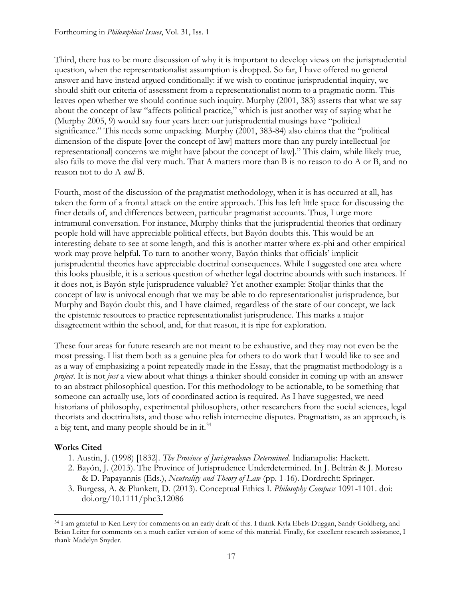Third, there has to be more discussion of why it is important to develop views on the jurisprudential question, when the representationalist assumption is dropped. So far, I have offered no general answer and have instead argued conditionally: if we wish to continue jurisprudential inquiry, we should shift our criteria of assessment from a representationalist norm to a pragmatic norm. This leaves open whether we should continue such inquiry. Murphy (2001, 383) asserts that what we say about the concept of law "affects political practice," which is just another way of saying what he (Murphy 2005, 9) would say four years later: our jurisprudential musings have "political significance." This needs some unpacking. Murphy (2001, 383-84) also claims that the "political dimension of the dispute [over the concept of law] matters more than any purely intellectual [or representational] concerns we might have [about the concept of law]." This claim, while likely true, also fails to move the dial very much. That A matters more than B is no reason to do A or B, and no reason not to do A *and* B.

Fourth, most of the discussion of the pragmatist methodology, when it is has occurred at all, has taken the form of a frontal attack on the entire approach. This has left little space for discussing the finer details of, and differences between, particular pragmatist accounts. Thus, I urge more intramural conversation. For instance, Murphy thinks that the jurisprudential theories that ordinary people hold will have appreciable political effects, but Bayón doubts this. This would be an interesting debate to see at some length, and this is another matter where ex-phi and other empirical work may prove helpful. To turn to another worry, Bayón thinks that officials' implicit jurisprudential theories have appreciable doctrinal consequences. While I suggested one area where this looks plausible, it is a serious question of whether legal doctrine abounds with such instances. If it does not, is Bayón-style jurisprudence valuable? Yet another example: Stoljar thinks that the concept of law is univocal enough that we may be able to do representationalist jurisprudence, but Murphy and Bayón doubt this, and I have claimed, regardless of the state of our concept, we lack the epistemic resources to practice representationalist jurisprudence. This marks a major disagreement within the school, and, for that reason, it is ripe for exploration.

These four areas for future research are not meant to be exhaustive, and they may not even be the most pressing. I list them both as a genuine plea for others to do work that I would like to see and as a way of emphasizing a point repeatedly made in the Essay, that the pragmatist methodology is a *project*. It is not *just* a view about what things a thinker should consider in coming up with an answer to an abstract philosophical question. For this methodology to be actionable, to be something that someone can actually use, lots of coordinated action is required. As I have suggested, we need historians of philosophy, experimental philosophers, other researchers from the social sciences, legal theorists and doctrinalists, and those who relish internecine disputes. Pragmatism, as an approach, is a big tent, and many people should be in it.[34](#page-16-0)

# **Works Cited**

- 1. Austin, J. (1998) [1832]. *The Province of Jurisprudence Determined*. Indianapolis: Hackett.
- 2. Bayón, J. (2013). The Province of Jurisprudence Underdetermined. In J. Beltrán & J. Moreso & D. Papayannis (Eds.), *Neutrality and Theory of Law* (pp. 1-16). Dordrecht: Springer.
- 3. Burgess, A. & Plunkett, D. (2013). Conceptual Ethics I. *Philosophy Compass* 1091-1101. doi: doi.org/10.1111/phc3.12086

<span id="page-16-0"></span><sup>34</sup> I am grateful to Ken Levy for comments on an early draft of this. I thank Kyla Ebels-Duggan, Sandy Goldberg, and Brian Leiter for comments on a much earlier version of some of this material. Finally, for excellent research assistance, I thank Madelyn Snyder.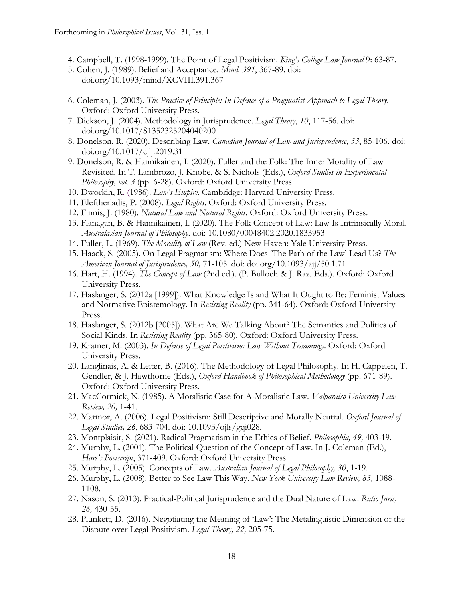- 4. Campbell, T. (1998-1999). The Point of Legal Positivism. *King's College Law Journal* 9: 63-87.
- 5. Cohen, J. (1989). Belief and Acceptance. *Mind, 391*, 367-89. doi: doi.org/10.1093/mind/XCVIII.391.367
- 6. Coleman, J. (2003). *The Practice of Principle: In Defence of a Pragmatist Approach to Legal Theory*. Oxford: Oxford University Press.
- 7. Dickson, J. (2004). Methodology in Jurisprudence. *Legal Theory*, *10*, 117-56. doi: doi.org/10.1017/S1352325204040200
- 8. Donelson, R. (2020). Describing Law. *Canadian Journal of Law and Jurisprudence, 33*, 85-106. doi: doi.org/10.1017/cjlj.2019.31
- 9. Donelson, R. & Hannikainen, I. (2020). Fuller and the Folk: The Inner Morality of Law Revisited. In T. Lambrozo, J. Knobe, & S. Nichols (Eds.), *Oxford Studies in Experimental Philosophy, vol. 3* (pp. 6-28). Oxford: Oxford University Press.
- 10. Dworkin, R. (1986). *Law's Empire*. Cambridge: Harvard University Press.
- 11. Eleftheriadis, P. (2008). *Legal Rights*. Oxford: Oxford University Press.
- 12. Finnis, J. (1980). *Natural Law and Natural Rights*. Oxford: Oxford University Press.
- 13. Flanagan, B. & Hannikainen, I. (2020). The Folk Concept of Law: Law Is Intrinsically Moral. *Australasian Journal of Philosophy*. doi: 10.1080/00048402.2020.1833953
- 14. Fuller, L. (1969). *The Morality of Law* (Rev. ed.) New Haven: Yale University Press.
- 15. Haack, S. (2005). On Legal Pragmatism: Where Does 'The Path of the Law' Lead Us? *The American Journal of Jurisprudence, 50,* 71-105. doi: doi.org/10.1093/ajj/50.1.71
- 16. Hart, H. (1994). *The Concept of Law* (2nd ed.). (P. Bulloch & J. Raz, Eds.). Oxford: Oxford University Press.
- 17. Haslanger, S. (2012a [1999]). What Knowledge Is and What It Ought to Be: Feminist Values and Normative Epistemology. In *Resisting Reality* (pp. 341-64). Oxford: Oxford University Press.
- 18. Haslanger, S. (2012b [2005]). What Are We Talking About? The Semantics and Politics of Social Kinds. In *Resisting Reality* (pp. 365-80). Oxford: Oxford University Press.
- 19. Kramer, M. (2003). *In Defense of Legal Positivism: Law Without Trimmings*. Oxford: Oxford University Press.
- 20. Langlinais, A. & Leiter, B. (2016). The Methodology of Legal Philosophy. In H. Cappelen, T. Gendler, & J. Hawthorne (Eds.), *Oxford Handbook of Philosophical Methodology* (pp. 671-89). Oxford: Oxford University Press.
- 21. MacCormick, N. (1985). A Moralistic Case for A-Moralistic Law. *Valparaiso University Law Review, 20,* 1-41.
- 22. Marmor, A. (2006). Legal Positivism: Still Descriptive and Morally Neutral. *Oxford Journal of Legal Studies, 26*, 683-704. doi: 10.1093/ojls/gqi028.
- 23. Montplaisir, S. (2021). Radical Pragmatism in the Ethics of Belief. *Philosophia, 49,* 403-19.
- 24. Murphy, L. (2001). The Political Question of the Concept of Law. In J. Coleman (Ed.), *Hart's Postscript*, 371-409. Oxford: Oxford University Press.
- 25. Murphy, L. (2005). Concepts of Law. *Australian Journal of Legal Philosophy, 30*, 1-19.
- 26. Murphy, L. (2008). Better to See Law This Way. *New York University Law Review, 83,* 1088- 1108.
- 27. Nason, S. (2013). Practical-Political Jurisprudence and the Dual Nature of Law. *Ratio Juris, 26,* 430-55.
- 28. Plunkett, D. (2016). Negotiating the Meaning of 'Law': The Metalinguistic Dimension of the Dispute over Legal Positivism. *Legal Theory, 22,* 205-75.